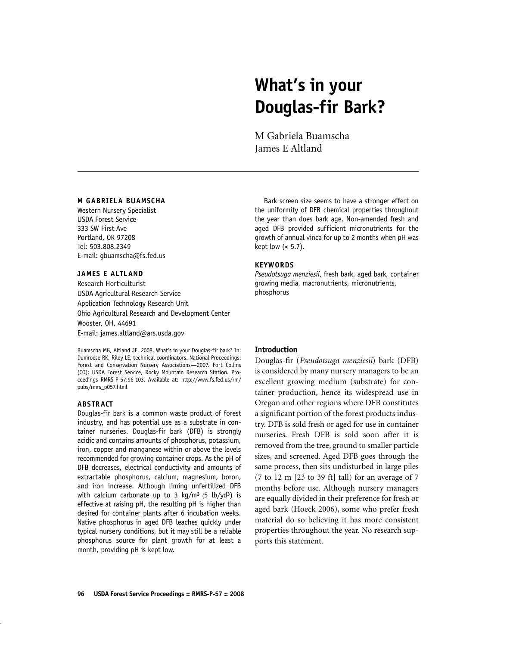# **What's in your Douglas-fir Bark?**

M Gabriela Buamscha James E Altland

#### **M GABRIELA BUAMSCHA**

Western Nursery Specialist USDA Forest Service 333 SW First Ave Portland, OR 97208 Tel: 503.808.2349 E-mail: gbuamscha@fs.fed.us

## **JAMES E ALTLAND**

Research Horticulturist USDA Agricultural Research Service Application Technology Research Unit Ohio Agricultural Research and Development Center Wooster, OH, 44691 E-mail: james.altland@ars.usda.gov

Buamscha MG, Altland JE. 2008. What's in your Douglas-fir bark? In: Dumroese RK, Riley LE, technical coordinators. National Proceedings: Forest and Conservation Nursery Associations—2007. Fort Collins (CO): USDA Forest Service, Rocky Mountain Research Station. Proceedings RMRS-P-57:96-103. Available at: http://www.fs.fed.us/rm/ pubs/rmrs\_p057.html

#### **ABS TRACT**

Douglas-fir bark is a common waste product of forest industry, and has potential use as a substrate in container nurseries. Douglas-fir bark (DFB) is strongly acidic and contains amounts of phosphorus, potassium, iron, copper and manganese within or above the levels recommended for growing container crops. As the pH of DFB decreases, electrical conductivity and amounts of extractable phosphorus, calcium, magnesium, boron, and iron increase. Although liming unfertilized DFB with calcium carbonate up to 3 kg/m<sup>3</sup> (5 lb/yd<sup>3</sup>) is effective at raising pH, the resulting pH is higher than desired for container plants after 6 incubation weeks. Native phosphorus in aged DFB leaches quickly under typical nursery conditions, but it may still be a reliable phosphorus source for plant growth for at least a month, providing pH is kept low.

Bark screen size seems to have a stronger effect on the uniformity of DFB chemical properties throughout the year than does bark age. Non-amended fresh and aged DFB provided sufficient micronutrients for the growth of annual vinca for up to 2 months when pH was kept low (< 5.7).

#### **KEYWORDS**

*Pseudotsuga menziesii*, fresh bark, aged bark, container growing media, macronutrients, micronutrients, phosphorus

#### **Introduction**

Douglas-fir (*Pseudotsuga menziesii*) bark (DFB) is considered by many nursery managers to be an excellent growing medium (substrate) for container production, hence its widespread use in Oregon and other regions where DFB constitutes a significant portion of the forest products industry. DFB is sold fresh or aged for use in container nurseries. Fresh DFB is sold soon after it is removed from the tree, ground to smaller particle sizes, and screened. Aged DFB goes through the same process, then sits undisturbed in large piles (7 to 12 m  $[23 \text{ to } 39 \text{ ft}]$  tall) for an average of 7 months before use. Although nursery managers are equally divided in their preference for fresh or aged bark (Hoeck 2006), some who prefer fresh material do so believing it has more consistent properties throughout the year. No research supports this statement.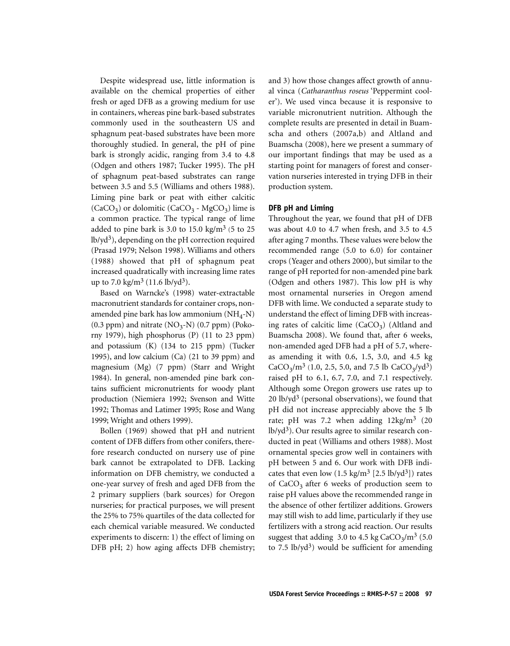Despite widespread use, little information is available on the chemical properties of either fresh or aged DFB as a growing medium for use in containers, whereas pine bark-based substrates commonly used in the southeastern US and sphagnum peat-based substrates have been more thoroughly studied. In general, the pH of pine bark is strongly acidic, ranging from 3.4 to 4.8 (Odgen and others 1987; Tucker 1995). The pH of sphagnum peat-based substrates can range between 3.5 and 5.5 (Williams and others 1988). Liming pine bark or peat with either calcitic  $(CaCO<sub>3</sub>)$  or dolomitic  $(CaCO<sub>3</sub> - MgCO<sub>3</sub>)$  lime is a common practice. The typical range of lime added to pine bark is 3.0 to 15.0 kg/m<sup>3</sup> (5 to 25  $lb/yd<sup>3</sup>$ , depending on the pH correction required (Prasad 1979; Nelson 1998). Williams and others (1988) showed that pH of sphagnum peat increased quadratically with increasing lime rates up to 7.0 kg/m<sup>3</sup> (11.6 lb/yd<sup>3</sup>).

Based on Warncke's (1998) water-extractable macronutrient standards for container crops, nonamended pine bark has low ammonium  $(NH_A-N)$  $(0.3$  ppm) and nitrate  $(NO<sub>3</sub>-N)$   $(0.7$  ppm) (Pokorny 1979), high phosphorus (P) (11 to 23 ppm) and potassium (K) (134 to 215 ppm) (Tucker 1995), and low calcium (Ca) (21 to 39 ppm) and magnesium (Mg) (7 ppm) (Starr and Wright 1984). In general, non-amended pine bark contains sufficient micronutrients for woody plant production (Niemiera 1992; Svenson and Witte 1992; Thomas and Latimer 1995; Rose and Wang 1999; Wright and others 1999).

Bollen (1969) showed that pH and nutrient content of DFB differs from other conifers, therefore research conducted on nursery use of pine bark cannot be extrapolated to DFB. Lacking information on DFB chemistry, we conducted a one-year survey of fresh and aged DFB from the 2 primary suppliers (bark sources) for Oregon nurseries; for practical purposes, we will present the 25% to 75% quartiles of the data collected for each chemical variable measured. We conducted experiments to discern: 1) the effect of liming on DFB pH; 2) how aging affects DFB chemistry;

and 3) how those changes affect growth of annual vinca (*Catharanthus roseus* 'Peppermint cooler'). We used vinca because it is responsive to variable micronutrient nutrition. Although the complete results are presented in detail in Buamscha and others (2007a,b) and Altland and Buamscha (2008), here we present a summary of our important findings that may be used as a starting point for managers of forest and conservation nurseries interested in trying DFB in their production system.

## **DFB pH and Liming**

Throughout the year, we found that pH of DFB was about 4.0 to 4.7 when fresh, and 3.5 to 4.5 after aging 7 months. These values were below the recommended range (5.0 to 6.0) for container crops (Yeager and others 2000), but similar to the range of pH reported for non-amended pine bark (Odgen and others 1987). This low pH is why most ornamental nurseries in Oregon amend DFB with lime. We conducted a separate study to understand the effect of liming DFB with increasing rates of calcitic lime  $(CaCO<sub>3</sub>)$  (Altland and Buamscha 2008). We found that, after 6 weeks, non-amended aged DFB had a pH of 5.7, whereas amending it with 0.6, 1.5, 3.0, and 4.5 kg  $CaCO<sub>3</sub>/m<sup>3</sup>$  (1.0, 2.5, 5.0, and 7.5 lb  $CaCO<sub>3</sub>/yd<sup>3</sup>$ ) raised pH to 6.1, 6.7, 7.0, and 7.1 respectively. Although some Oregon growers use rates up to  $20$  lb/yd<sup>3</sup> (personal observations), we found that pH did not increase appreciably above the 5 lb rate; pH was 7.2 when adding  $12\text{kg/m}^3$  (20  $lb/vd<sup>3</sup>$ . Our results agree to similar research conducted in peat (Williams and others 1988). Most ornamental species grow well in containers with pH between 5 and 6. Our work with DFB indicates that even low  $(1.5 \text{ kg/m}^3 \; [2.5 \text{ lb/yd}^3])$  rates of  $CaCO<sub>3</sub>$  after 6 weeks of production seem to raise pH values above the recommended range in the absence of other fertilizer additions. Growers may still wish to add lime, particularly if they use fertilizers with a strong acid reaction. Our results suggest that adding 3.0 to 4.5 kg  $CaCO<sub>3</sub>/m<sup>3</sup>$  (5.0) to 7.5 lb/yd<sup>3</sup>) would be sufficient for amending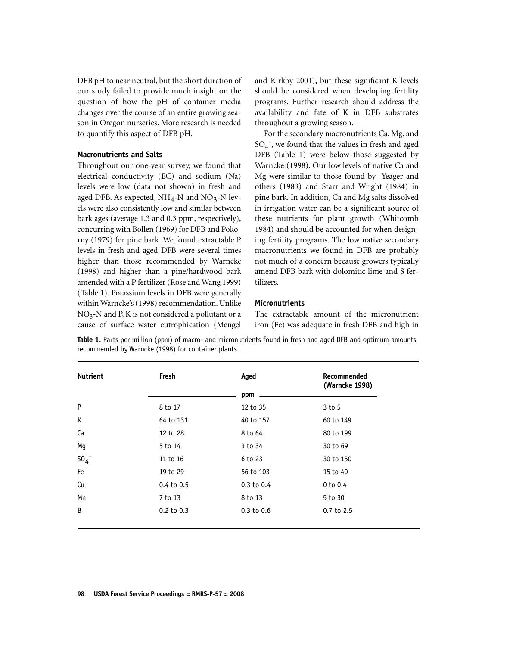DFB pH to near neutral, but the short duration of our study failed to provide much insight on the question of how the pH of container media changes over the course of an entire growing season in Oregon nurseries. More research is needed to quantify this aspect of DFB pH.

### **Macronutrients and Salts**

Throughout our one-year survey, we found that electrical conductivity (EC) and sodium (Na) levels were low (data not shown) in fresh and aged DFB. As expected,  $NH_4$ -N and  $NO_3$ -N levels were also consistently low and similar between bark ages (average 1.3 and 0.3 ppm, respectively), concurring with Bollen (1969) for DFB and Pokorny (1979) for pine bark. We found extractable P levels in fresh and aged DFB were several times higher than those recommended by Warncke (1998) and higher than a pine/hardwood bark amended with a P fertilizer (Rose and Wang 1999) (Table 1). Potassium levels in DFB were generally within Warncke's (1998) recommendation. Unlike  $NO<sub>3</sub>-N$  and P, K is not considered a pollutant or a cause of surface water eutrophication (Mengel

and Kirkby 2001), but these significant K levels should be considered when developing fertility programs. Further research should address the availability and fate of K in DFB substrates throughout a growing season.

For the secondary macronutrients Ca, Mg, and  $SO_4$  , we found that the values in fresh and aged DFB (Table 1) were below those suggested by Warncke (1998). Our low levels of native Ca and Mg were similar to those found by Yeager and others (1983) and Starr and Wright (1984) in pine bark. In addition, Ca and Mg salts dissolved in irrigation water can be a significant source of these nutrients for plant growth (Whitcomb 1984) and should be accounted for when designing fertility programs. The low native secondary macronutrients we found in DFB are probably not much of a concern because growers typically amend DFB bark with dolomitic lime and S fertilizers.

## **Micronutrients**

The extractable amount of the micronutrient iron (Fe) was adequate in fresh DFB and high in

**Table 1.** Parts per million (ppm) of macro- and micronutrients found in fresh and aged DFB and optimum amounts recommended by Warncke (1998) for container plants.

| <b>Nutrient</b> | Fresh          | Aged<br>ppm    | Recommended<br>(Warncke 1998) |
|-----------------|----------------|----------------|-------------------------------|
| P               | 8 to 17        | 12 to 35       | $3$ to $5$                    |
| К               | 64 to 131      | 40 to 157      | 60 to 149                     |
| Ca              | 12 to 28       | 8 to 64        | 80 to 199                     |
| Mg              | 5 to 14        | 3 to 34        | 30 to 69                      |
| $SO_4^-$        | 11 to 16       | 6 to 23        | 30 to 150                     |
| Fe              | 19 to 29       | 56 to 103      | 15 to 40                      |
| Cu              | $0.4$ to $0.5$ | $0.3$ to $0.4$ | $0$ to $0.4$                  |
| Mn              | 7 to 13        | 8 to 13        | 5 to 30                       |
| B               | 0.2 to 0.3     | $0.3$ to $0.6$ | 0.7 to 2.5                    |
|                 |                |                |                               |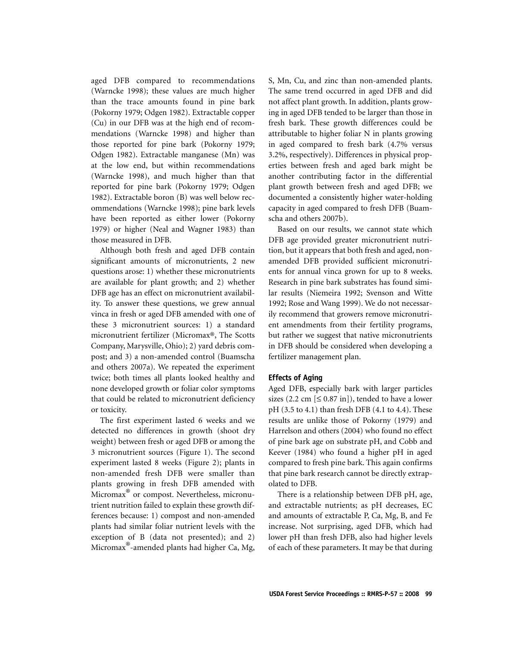aged DFB compared to recommendations (Warncke 1998); these values are much higher than the trace amounts found in pine bark (Pokorny 1979; Odgen 1982). Extractable copper (Cu) in our DFB was at the high end of recommendations (Warncke 1998) and higher than those reported for pine bark (Pokorny 1979; Odgen 1982). Extractable manganese (Mn) was at the low end, but within recommendations (Warncke 1998), and much higher than that reported for pine bark (Pokorny 1979; Odgen 1982). Extractable boron (B) was well below recommendations (Warncke 1998); pine bark levels have been reported as either lower (Pokorny 1979) or higher (Neal and Wagner 1983) than those measured in DFB.

Although both fresh and aged DFB contain significant amounts of micronutrients, 2 new questions arose: 1) whether these micronutrients are available for plant growth; and 2) whether DFB age has an effect on micronutrient availability. To answer these questions, we grew annual vinca in fresh or aged DFB amended with one of these 3 micronutrient sources: 1) a standard micronutrient fertilizer (Micromax®, The Scotts Company, Marysville, Ohio); 2) yard debris compost; and 3) a non-amended control (Buamscha and others 2007a). We repeated the experiment twice; both times all plants looked healthy and none developed growth or foliar color symptoms that could be related to micronutrient deficiency or toxicity.

The first experiment lasted 6 weeks and we detected no differences in growth (shoot dry weight) between fresh or aged DFB or among the 3 micronutrient sources (Figure 1). The second experiment lasted 8 weeks (Figure 2); plants in non-amended fresh DFB were smaller than plants growing in fresh DFB amended with Micromax® or compost. Nevertheless, micronutrient nutrition failed to explain these growth differences because: 1) compost and non-amended plants had similar foliar nutrient levels with the exception of B (data not presented); and 2) Micromax®-amended plants had higher Ca, Mg,

S, Mn, Cu, and zinc than non-amended plants. The same trend occurred in aged DFB and did not affect plant growth. In addition, plants growing in aged DFB tended to be larger than those in fresh bark. These growth differences could be attributable to higher foliar N in plants growing in aged compared to fresh bark (4.7% versus 3.2%, respectively). Differences in physical properties between fresh and aged bark might be another contributing factor in the differential plant growth between fresh and aged DFB; we documented a consistently higher water-holding capacity in aged compared to fresh DFB (Buamscha and others 2007b).

Based on our results, we cannot state which DFB age provided greater micronutrient nutrition, but it appears that both fresh and aged, nonamended DFB provided sufficient micronutrients for annual vinca grown for up to 8 weeks. Research in pine bark substrates has found similar results (Niemeira 1992; Svenson and Witte 1992; Rose and Wang 1999). We do not necessarily recommend that growers remove micronutrient amendments from their fertility programs, but rather we suggest that native micronutrients in DFB should be considered when developing a fertilizer management plan.

# **Effects of Aging**

Aged DFB, especially bark with larger particles sizes (2.2 cm  $[ \leq 0.87 \text{ in} ]$ ), tended to have a lower pH (3.5 to 4.1) than fresh DFB (4.1 to 4.4). These results are unlike those of Pokorny (1979) and Harrelson and others (2004) who found no effect of pine bark age on substrate pH, and Cobb and Keever (1984) who found a higher pH in aged compared to fresh pine bark. This again confirms that pine bark research cannot be directly extrapolated to DFB.

There is a relationship between DFB pH, age, and extractable nutrients; as pH decreases, EC and amounts of extractable P, Ca, Mg, B, and Fe increase. Not surprising, aged DFB, which had lower pH than fresh DFB, also had higher levels of each of these parameters. It may be that during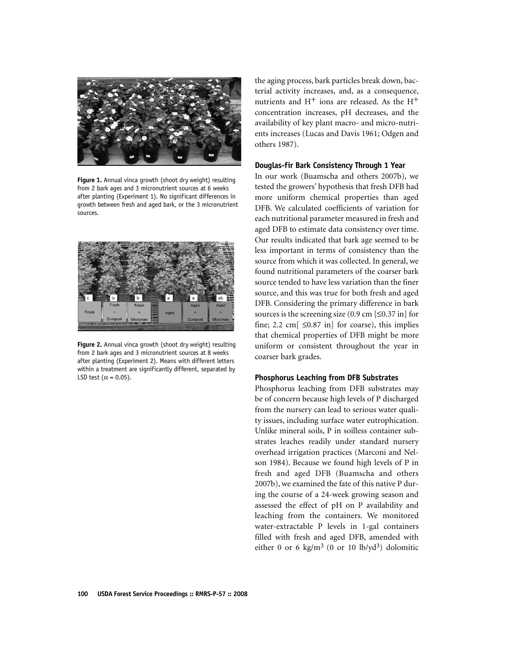

**Figure 1.** Annual vinca growth (shoot dry weight) resulting from 2 bark ages and 3 micronutrient sources at 6 weeks after planting (Experiment 1). No significant differences in growth between fresh and aged bark, or the 3 micronutrient sources.



**Figure 2.** Annual vinca growth (shoot dry weight) resulting from 2 bark ages and 3 micronutrient sources at 8 weeks after planting (Experiment 2). Means with different letters within a treatment are significantly different, separated by LSD test ( $\alpha$  = 0.05).

the aging process, bark particles break down, bacterial activity increases, and, as a consequence, nutrients and  $H^+$  ions are released. As the  $H^+$ concentration increases, pH decreases, and the availability of key plant macro- and micro-nutrients increases (Lucas and Davis 1961; Odgen and others 1987).

# **Douglas-fir Bark Consistency Through 1 Year**

In our work (Buamscha and others 2007b), we tested the growers' hypothesis that fresh DFB had more uniform chemical properties than aged DFB. We calculated coefficients of variation for each nutritional parameter measured in fresh and aged DFB to estimate data consistency over time. Our results indicated that bark age seemed to be less important in terms of consistency than the source from which it was collected. In general, we found nutritional parameters of the coarser bark source tended to have less variation than the finer source, and this was true for both fresh and aged DFB. Considering the primary difference in bark sources is the screening size  $(0.9 \text{ cm} \le 0.37 \text{ in})$  for fine; 2.2 cm $\left[ \right. \leq 0.87$  in  $\left[ \right.$  for coarse), this implies that chemical properties of DFB might be more uniform or consistent throughout the year in coarser bark grades.

## **Phosphorus Leaching from DFB Substrates**

Phosphorus leaching from DFB substrates may be of concern because high levels of P discharged from the nursery can lead to serious water quality issues, including surface water eutrophication. Unlike mineral soils, P in soilless container substrates leaches readily under standard nursery overhead irrigation practices (Marconi and Nelson 1984). Because we found high levels of P in fresh and aged DFB (Buamscha and others 2007b), we examined the fate of this native P during the course of a 24-week growing season and assessed the effect of pH on P availability and leaching from the containers. We monitored water-extractable P levels in 1-gal containers filled with fresh and aged DFB, amended with either 0 or 6 kg/m<sup>3</sup> (0 or 10 lb/yd<sup>3</sup>) dolomitic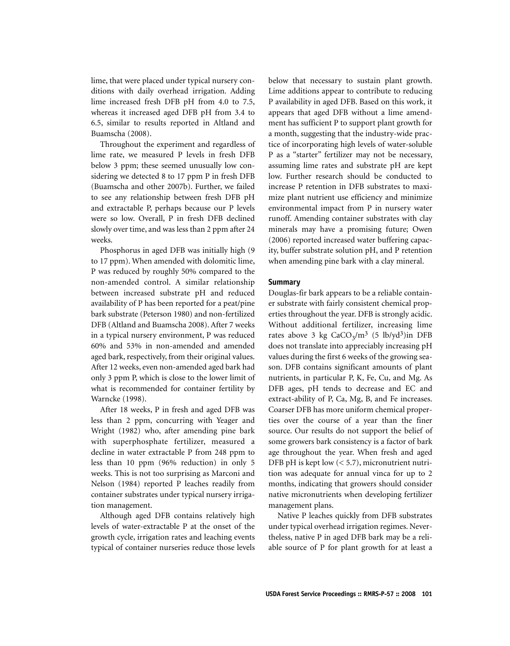lime, that were placed under typical nursery conditions with daily overhead irrigation. Adding lime increased fresh DFB pH from 4.0 to 7.5, whereas it increased aged DFB pH from 3.4 to 6.5, similar to results reported in Altland and Buamscha (2008).

Throughout the experiment and regardless of lime rate, we measured P levels in fresh DFB below 3 ppm; these seemed unusually low considering we detected 8 to 17 ppm P in fresh DFB (Buamscha and other 2007b). Further, we failed to see any relationship between fresh DFB pH and extractable P, perhaps because our P levels were so low. Overall, P in fresh DFB declined slowly over time, and was less than 2 ppm after 24 weeks.

Phosphorus in aged DFB was initially high (9 to 17 ppm). When amended with dolomitic lime, P was reduced by roughly 50% compared to the non-amended control. A similar relationship between increased substrate pH and reduced availability of P has been reported for a peat/pine bark substrate (Peterson 1980) and non-fertilized DFB (Altland and Buamscha 2008). After 7 weeks in a typical nursery environment, P was reduced 60% and 53% in non-amended and amended aged bark, respectively, from their original values. After 12 weeks, even non-amended aged bark had only 3 ppm P, which is close to the lower limit of what is recommended for container fertility by Warncke (1998).

After 18 weeks, P in fresh and aged DFB was less than 2 ppm, concurring with Yeager and Wright (1982) who, after amending pine bark with superphosphate fertilizer, measured a decline in water extractable P from 248 ppm to less than 10 ppm (96% reduction) in only 5 weeks. This is not too surprising as Marconi and Nelson (1984) reported P leaches readily from container substrates under typical nursery irrigation management.

Although aged DFB contains relatively high levels of water-extractable P at the onset of the growth cycle, irrigation rates and leaching events typical of container nurseries reduce those levels below that necessary to sustain plant growth. Lime additions appear to contribute to reducing P availability in aged DFB. Based on this work, it appears that aged DFB without a lime amendment has sufficient P to support plant growth for a month, suggesting that the industry-wide practice of incorporating high levels of water-soluble P as a "starter" fertilizer may not be necessary, assuming lime rates and substrate pH are kept low. Further research should be conducted to increase P retention in DFB substrates to maximize plant nutrient use efficiency and minimize environmental impact from P in nursery water runoff. Amending container substrates with clay minerals may have a promising future; Owen (2006) reported increased water buffering capacity, buffer substrate solution pH, and P retention when amending pine bark with a clay mineral.

# **Summary**

Douglas-fir bark appears to be a reliable container substrate with fairly consistent chemical properties throughout the year. DFB is strongly acidic. Without additional fertilizer, increasing lime rates above 3 kg  $CaCO<sub>3</sub>/m<sup>3</sup>$  (5 lb/yd<sup>3</sup>)in DFB does not translate into appreciably increasing pH values during the first 6 weeks of the growing season. DFB contains significant amounts of plant nutrients, in particular P, K, Fe, Cu, and Mg. As DFB ages, pH tends to decrease and EC and extract-ability of P, Ca, Mg, B, and Fe increases. Coarser DFB has more uniform chemical properties over the course of a year than the finer source. Our results do not support the belief of some growers bark consistency is a factor of bark age throughout the year. When fresh and aged DFB pH is kept low  $( $5.7$ ), micronutrient nutri$ tion was adequate for annual vinca for up to 2 months, indicating that growers should consider native micronutrients when developing fertilizer management plans.

Native P leaches quickly from DFB substrates under typical overhead irrigation regimes. Nevertheless, native P in aged DFB bark may be a reliable source of P for plant growth for at least a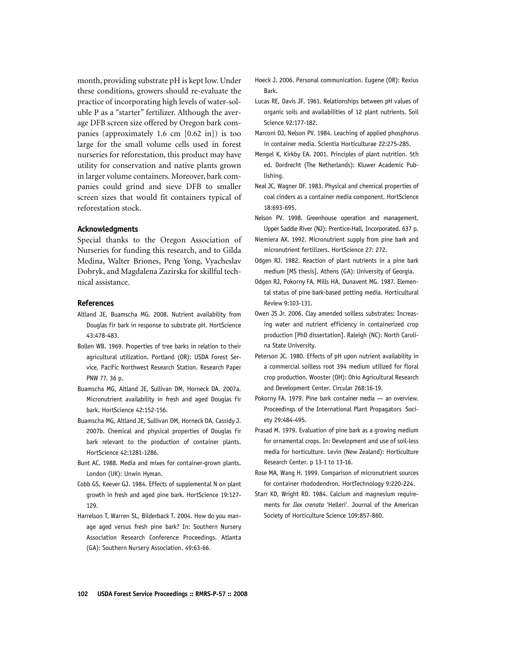month, providing substrate pH is kept low. Under these conditions, growers should re-evaluate the practice of incorporating high levels of water-soluble P as a "starter" fertilizer. Although the average DFB screen size offered by Oregon bark companies (approximately 1.6 cm [0.62 in]) is too large for the small volume cells used in forest nurseries for reforestation, this product may have utility for conservation and native plants grown in larger volume containers. Moreover, bark companies could grind and sieve DFB to smaller screen sizes that would fit containers typical of reforestation stock.

#### **Acknowledgments**

Special thanks to the Oregon Association of Nurseries for funding this research, and to Gilda Medina, Walter Briones, Peng Yong, Vyacheslav Dobryk, and Magdalena Zazirska for skillful technical assistance.

#### **References**

- Altland JE, Buamscha MG. 2008. Nutrient availability from Douglas fir bark in response to substrate pH. HortScience 43:478-483.
- Bollen WB. 1969. Properties of tree barks in relation to their agricultural utilization. Portland (OR): USDA Forest Service, Pacific Northwest Research Station. Research Paper PNW 77. 36 p.
- Buamscha MG, Altland JE, Sullivan DM, Horneck DA. 2007a. Micronutrient availability in fresh and aged Douglas fir bark. HortScience 42:152-156.
- Buamscha MG, Altland JE, Sullivan DM, Horneck DA, Cassidy J. 2007b. Chemical and physical properties of Douglas fir bark relevant to the production of container plants. HortScience 42:1281-1286.
- Bunt AC. 1988. Media and mixes for container-grown plants. London (UK): Unwin Hyman.
- Cobb GS, Keever GJ. 1984. Effects of supplemental N on plant growth in fresh and aged pine bark. HortScience 19:127- 129.
- Harrelson T, Warren SL, Bilderback T. 2004. How do you manage aged versus fresh pine bark? In: Southern Nursery Association Research Conference Proceedings. Atlanta (GA): Southern Nursery Association. 49:63-66.
- Hoeck J. 2006. Personal communication. Eugene (OR): Rexius Bark.
- Lucas RE, Davis JF. 1961. Relationships between pH values of organic soils and availabilities of 12 plant nutrients. Soil Science 92:177-182.
- Marconi DJ, Nelson PV. 1984. Leaching of applied phosphorus in container media. Scientia Horticulturae 22:275-285.
- Mengel K, Kirkby EA. 2001. Principles of plant nutrition. 5th ed. Dordrecht (The Netherlands): Kluwer Academic Publishing.
- Neal JC, Wagner DF. 1983. Physical and chemical properties of coal cinders as a container media component. HortScience 18:693-695.
- Nelson PV. 1998. Greenhouse operation and management. Upper Saddle River (NJ): Prentice-Hall, Incorporated. 637 p.
- Niemiera AX. 1992. Micronutrient supply from pine bark and micronutrient fertilizers. HortScience 27: 272.
- Odgen RJ. 1982. Reaction of plant nutrients in a pine bark medium [MS thesis]. Athens (GA): University of Georgia.
- Odgen RJ, Pokorny FA, Mills HA, Dunavent MG. 1987. Elemental status of pine bark-based potting media. Horticultural Review 9:103-131.
- Owen JS Jr. 2006. Clay amended soilless substrates: Increasing water and nutrient efficiency in containerized crop production [PhD dissertation]. Raleigh (NC): North Carolina State University.
- Peterson JC. 1980. Effects of pH upon nutrient availability in a commercial soilless root 394 medium utilized for floral crop production. Wooster (OH): Ohio Agricultural Research and Development Center. Circular 268:16-19.
- Pokorny FA. 1979. Pine bark container media an overview. Proceedings of the International Plant Propagators Society 29:484-495.
- Prasad M. 1979. Evaluation of pine bark as a growing medium for ornamental crops. In: Development and use of soil-less media for horticulture. Levin (New Zealand): Horticulture Research Center. p 13-1 to 13-16.
- Rose MA, Wang H. 1999. Comparison of micronutrient sources for container rhododendron. HortTechnology 9:220-224.
- Starr KD, Wright RD. 1984. Calcium and magnesium requirements for *Ilex crenata* 'Helleri'. Journal of the American Society of Horticulture Science 109:857-860.